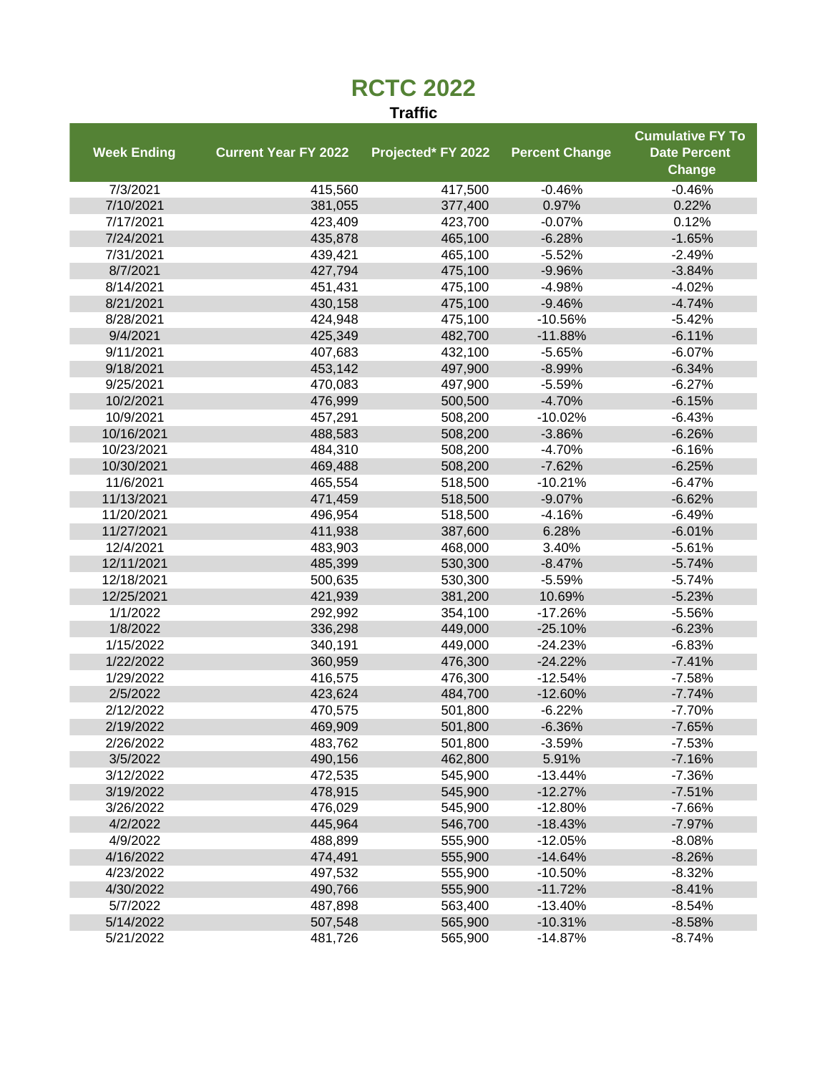## **RCTC 2022**

## **Traffic**

|                    |                             |                    |                       | <b>Cumulative FY To</b> |
|--------------------|-----------------------------|--------------------|-----------------------|-------------------------|
| <b>Week Ending</b> | <b>Current Year FY 2022</b> | Projected* FY 2022 | <b>Percent Change</b> | <b>Date Percent</b>     |
|                    |                             |                    |                       | <b>Change</b>           |
| 7/3/2021           | 415,560                     | 417,500            | $-0.46%$              | $-0.46%$                |
| 7/10/2021          | 381,055                     | 377,400            | 0.97%                 | 0.22%                   |
| 7/17/2021          | 423,409                     | 423,700            | $-0.07%$              | 0.12%                   |
| 7/24/2021          | 435,878                     | 465,100            | $-6.28%$              | $-1.65%$                |
| 7/31/2021          | 439,421                     | 465,100            | $-5.52%$              | $-2.49%$                |
| 8/7/2021           | 427,794                     | 475,100            | $-9.96%$              | $-3.84%$                |
| 8/14/2021          | 451,431                     | 475,100            | $-4.98%$              | $-4.02%$                |
| 8/21/2021          | 430,158                     | 475,100            | $-9.46%$              | $-4.74%$                |
| 8/28/2021          | 424,948                     | 475,100            | $-10.56%$             | $-5.42%$                |
| 9/4/2021           | 425,349                     | 482,700            | $-11.88%$             | $-6.11%$                |
| 9/11/2021          | 407,683                     | 432,100            | $-5.65%$              | $-6.07%$                |
| 9/18/2021          | 453,142                     | 497,900            | $-8.99%$              | $-6.34%$                |
| 9/25/2021          | 470,083                     | 497,900            | $-5.59%$              | $-6.27%$                |
| 10/2/2021          | 476,999                     | 500,500            | $-4.70%$              | $-6.15%$                |
| 10/9/2021          | 457,291                     | 508,200            | $-10.02%$             | $-6.43%$                |
| 10/16/2021         | 488,583                     | 508,200            | $-3.86%$              | $-6.26%$                |
| 10/23/2021         | 484,310                     | 508,200            | $-4.70%$              | $-6.16%$                |
| 10/30/2021         | 469,488                     | 508,200            | $-7.62%$              | $-6.25%$                |
| 11/6/2021          | 465,554                     | 518,500            | $-10.21%$             | $-6.47%$                |
| 11/13/2021         | 471,459                     | 518,500            | $-9.07%$              | $-6.62%$                |
| 11/20/2021         | 496,954                     | 518,500            | $-4.16%$              | $-6.49%$                |
| 11/27/2021         | 411,938                     | 387,600            | 6.28%                 | $-6.01%$                |
| 12/4/2021          | 483,903                     | 468,000            | 3.40%                 | $-5.61%$                |
| 12/11/2021         | 485,399                     | 530,300            | $-8.47%$              | $-5.74%$                |
| 12/18/2021         | 500,635                     | 530,300            | $-5.59%$              | $-5.74%$                |
| 12/25/2021         | 421,939                     | 381,200            | 10.69%                | $-5.23%$                |
| 1/1/2022           | 292,992                     | 354,100            | $-17.26%$             | $-5.56%$                |
| 1/8/2022           | 336,298                     | 449,000            | $-25.10%$             | $-6.23%$                |
| 1/15/2022          | 340,191                     | 449,000            | $-24.23%$             | $-6.83%$                |
| 1/22/2022          | 360,959                     | 476,300            | $-24.22%$             | $-7.41%$                |
| 1/29/2022          | 416,575                     | 476,300            | $-12.54%$             | $-7.58%$                |
| 2/5/2022           | 423,624                     | 484,700            | $-12.60%$             | $-7.74%$                |
| 2/12/2022          | 470,575                     | 501,800            | $-6.22%$              | $-7.70%$                |
| 2/19/2022          | 469,909                     | 501,800            | $-6.36%$              | $-7.65%$                |
| 2/26/2022          | 483,762                     | 501,800            | $-3.59%$              | $-7.53%$                |
| 3/5/2022           | 490,156                     | 462,800            | 5.91%                 | $-7.16%$                |
| 3/12/2022          | 472,535                     | 545,900            | $-13.44%$             | $-7.36%$                |
| 3/19/2022          | 478,915                     | 545,900            | $-12.27%$             | $-7.51%$                |
| 3/26/2022          | 476,029                     | 545,900            | $-12.80%$             | $-7.66%$                |
| 4/2/2022           | 445,964                     | 546,700            | $-18.43%$             | $-7.97%$                |
| 4/9/2022           | 488,899                     | 555,900            | $-12.05%$             | $-8.08%$                |
| 4/16/2022          | 474,491                     | 555,900            | $-14.64%$             | $-8.26%$                |
| 4/23/2022          | 497,532                     | 555,900            | $-10.50%$             | $-8.32%$                |
| 4/30/2022          | 490,766                     | 555,900            | $-11.72%$             | $-8.41%$                |
| 5/7/2022           | 487,898                     | 563,400            | $-13.40%$             | $-8.54%$                |
| 5/14/2022          | 507,548                     | 565,900            | $-10.31%$             | $-8.58%$                |
| 5/21/2022          | 481,726                     | 565,900            | $-14.87%$             | $-8.74%$                |
|                    |                             |                    |                       |                         |